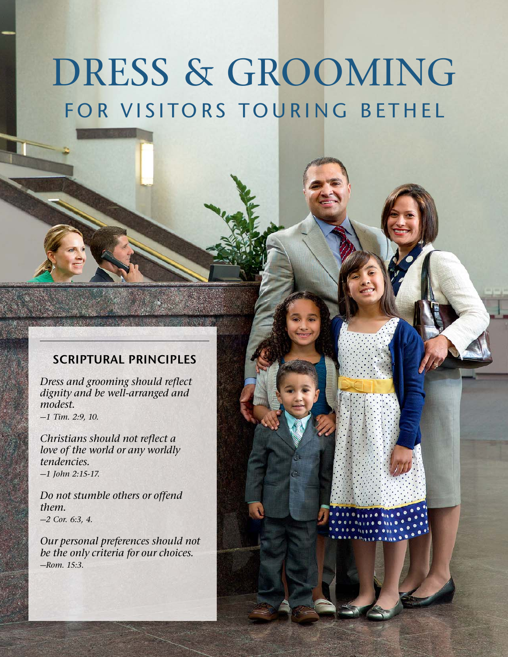# DRESS & GROOMING FOR VISITORS TOURING BETHEL

## SCRIPTURAL PRINCIPLES

Dress and grooming should reflect dignity and be well-arranged and modest.

—1 Tim. 2:9, 10.

Christians should not reflect a love of the world or any worldly tendencies. —1 John 2:15-17.

Do not stumble others or offend them.  $-2$  Cor. 6:3, 4.

Our personal preferences should not be the only criteria for our choices. —Rom. 15:3.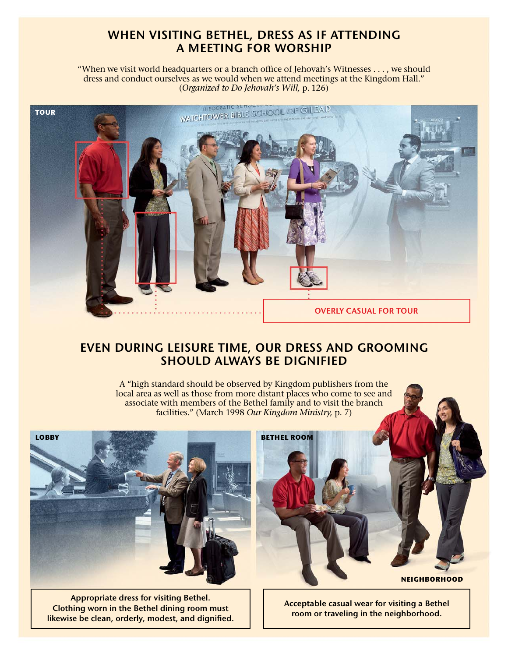## WHEN VISITING BETHEL, DRESS AS IF ATTENDING A MEETING FOR WORSHIP

"When we visit world headquarters or a branch office of Jehovah's Witnesses . . . , we should dress and conduct ourselves as we would when we attend meetings at the Kingdom Hall." (Organized to Do Jehovah's Will, p. 126)



## EVEN DURING LEISURE TIME, OUR DRESS AND GROOMING SHOULD ALWAYS BE DIGNIFIED

A "high standard should be observed by Kingdom publishers from the local area as well as those from more distant places who come to see and associate with members of the Bethel family and to visit the branch facilities." (March 1998 Our Kingdom Ministry, p. 7)

BETHEL ROOM



Appropriate dress for visiting Bethel. Clothing worn in the Bethel dining room must likewise be clean, orderly, modest, and dignified. **NEIGHBORHOOD** 

Acceptable casual wear for visiting a Bethel room or traveling in the neighborhood.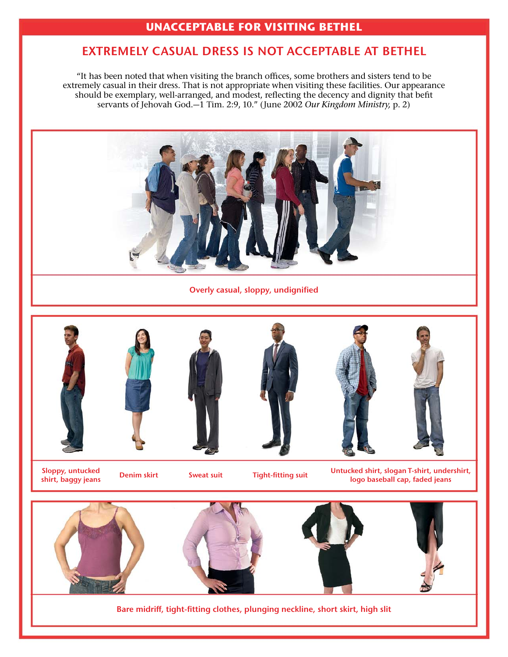### UNACCEPTABLE FOR VISITING BETHEL

## EXTREMELY CASUAL DRESS IS NOT ACCEPTABLE AT BETHEL

"It has been noted that when visiting the branch offices, some brothers and sisters tend to be extremely casual in their dress. That is not appropriate when visiting these facilities. Our appearance should be exemplary, well-arranged, and modest, reflecting the decency and dignity that befit servants of Jehovah God.<sup>-1</sup> Tim. 2:9, 10." (June 2002 Our Kingdom Ministry, p. 2)



Overly casual, sloppy, undignified







Sloppy, untucked<br>shirt, baggy jeans

**Sweat suit Tight-fitting suit** Untucked shirt, slogan T-shirt, undershirt, Untucked shirt, slogan T-shirt, undershirt, logo baseball cap, faded jeans



Bare midriff, tight-fitting clothes, plunging neckline, short skirt, high slit